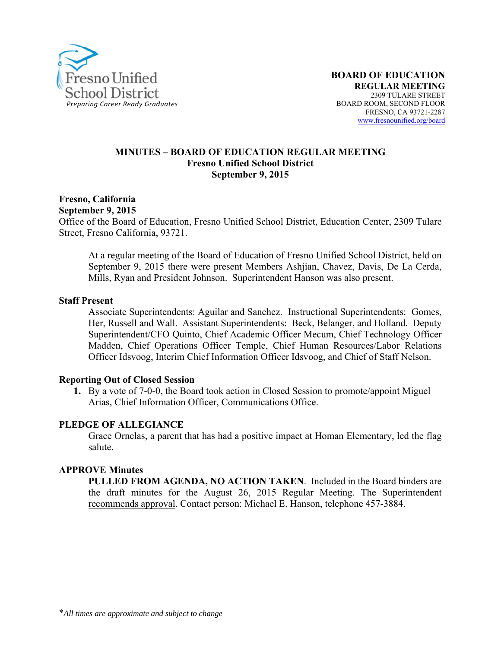

#### **MINUTES – BOARD OF EDUCATION REGULAR MEETING Fresno Unified School District September 9, 2015**

#### **Fresno, California September 9, 2015**

Office of the Board of Education, Fresno Unified School District, Education Center, 2309 Tulare Street, Fresno California, 93721.

At a regular meeting of the Board of Education of Fresno Unified School District, held on September 9, 2015 there were present Members Ashjian, Chavez, Davis, De La Cerda, Mills, Ryan and President Johnson. Superintendent Hanson was also present.

#### **Staff Present**

Associate Superintendents: Aguilar and Sanchez. Instructional Superintendents: Gomes, Her, Russell and Wall. Assistant Superintendents: Beck, Belanger, and Holland. Deputy Superintendent/CFO Quinto, Chief Academic Officer Mecum, Chief Technology Officer Madden, Chief Operations Officer Temple, Chief Human Resources/Labor Relations Officer Idsvoog, Interim Chief Information Officer Idsvoog, and Chief of Staff Nelson.

#### **Reporting Out of Closed Session**

**1.** By a vote of 7-0-0, the Board took action in Closed Session to promote/appoint Miguel Arias, Chief Information Officer, Communications Office.

#### **PLEDGE OF ALLEGIANCE**

Grace Ornelas, a parent that has had a positive impact at Homan Elementary, led the flag salute.

#### **APPROVE Minutes**

**PULLED FROM AGENDA, NO ACTION TAKEN**. Included in the Board binders are the draft minutes for the August 26, 2015 Regular Meeting. The Superintendent recommends approval. Contact person: Michael E. Hanson, telephone 457-3884.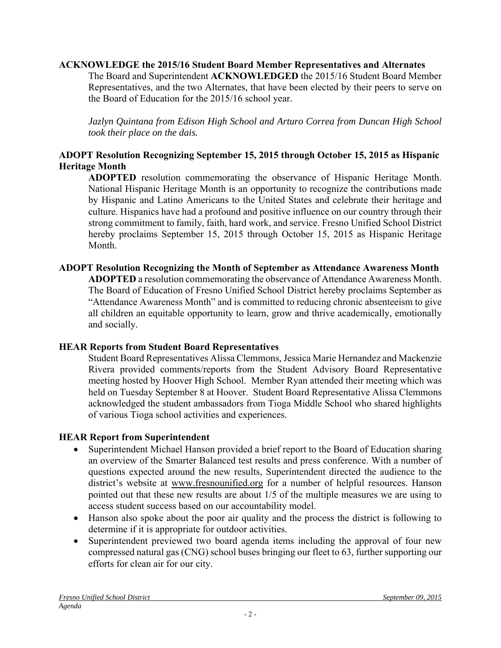### **ACKNOWLEDGE the 2015/16 Student Board Member Representatives and Alternates**

The Board and Superintendent **ACKNOWLEDGED** the 2015/16 Student Board Member Representatives, and the two Alternates, that have been elected by their peers to serve on the Board of Education for the 2015/16 school year.

*Jazlyn Quintana from Edison High School and Arturo Correa from Duncan High School took their place on the dais.* 

### **ADOPT Resolution Recognizing September 15, 2015 through October 15, 2015 as Hispanic Heritage Month**

**ADOPTED** resolution commemorating the observance of Hispanic Heritage Month. National Hispanic Heritage Month is an opportunity to recognize the contributions made by Hispanic and Latino Americans to the United States and celebrate their heritage and culture. Hispanics have had a profound and positive influence on our country through their strong commitment to family, faith, hard work, and service. Fresno Unified School District hereby proclaims September 15, 2015 through October 15, 2015 as Hispanic Heritage Month.

### **ADOPT Resolution Recognizing the Month of September as Attendance Awareness Month**

**ADOPTED** a resolution commemorating the observance of Attendance Awareness Month. The Board of Education of Fresno Unified School District hereby proclaims September as "Attendance Awareness Month" and is committed to reducing chronic absenteeism to give all children an equitable opportunity to learn, grow and thrive academically, emotionally and socially.

### **HEAR Reports from Student Board Representatives**

Student Board Representatives Alissa Clemmons, Jessica Marie Hernandez and Mackenzie Rivera provided comments/reports from the Student Advisory Board Representative meeting hosted by Hoover High School. Member Ryan attended their meeting which was held on Tuesday September 8 at Hoover. Student Board Representative Alissa Clemmons acknowledged the student ambassadors from Tioga Middle School who shared highlights of various Tioga school activities and experiences.

### **HEAR Report from Superintendent**

- Superintendent Michael Hanson provided a brief report to the Board of Education sharing an overview of the Smarter Balanced test results and press conference. With a number of questions expected around the new results, Superintendent directed the audience to the district's website at www.fresnounified.org for a number of helpful resources. Hanson pointed out that these new results are about 1/5 of the multiple measures we are using to access student success based on our accountability model.
- Hanson also spoke about the poor air quality and the process the district is following to determine if it is appropriate for outdoor activities.
- Superintendent previewed two board agenda items including the approval of four new compressed natural gas (CNG) school buses bringing our fleet to 63, further supporting our efforts for clean air for our city.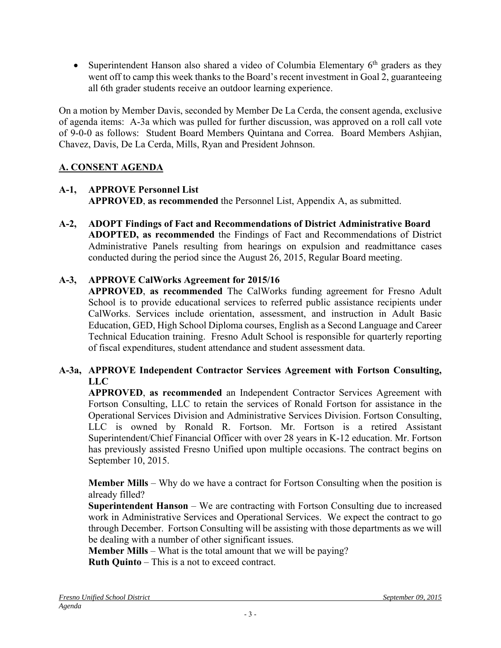• Superintendent Hanson also shared a video of Columbia Elementary  $6<sup>th</sup>$  graders as they went off to camp this week thanks to the Board's recent investment in Goal 2, guaranteeing all 6th grader students receive an outdoor learning experience.

On a motion by Member Davis, seconded by Member De La Cerda, the consent agenda, exclusive of agenda items: A-3a which was pulled for further discussion, was approved on a roll call vote of 9-0-0 as follows: Student Board Members Quintana and Correa. Board Members Ashjian, Chavez, Davis, De La Cerda, Mills, Ryan and President Johnson.

# **A. CONSENT AGENDA**

# **A-1, APPROVE Personnel List**

**APPROVED**, **as recommended** the Personnel List, Appendix A, as submitted.

**A-2, ADOPT Findings of Fact and Recommendations of District Administrative Board ADOPTED, as recommended** the Findings of Fact and Recommendations of District Administrative Panels resulting from hearings on expulsion and readmittance cases conducted during the period since the August 26, 2015, Regular Board meeting.

# **A-3, APPROVE CalWorks Agreement for 2015/16**

**APPROVED**, **as recommended** The CalWorks funding agreement for Fresno Adult School is to provide educational services to referred public assistance recipients under CalWorks. Services include orientation, assessment, and instruction in Adult Basic Education, GED, High School Diploma courses, English as a Second Language and Career Technical Education training. Fresno Adult School is responsible for quarterly reporting of fiscal expenditures, student attendance and student assessment data.

## **A-3a, APPROVE Independent Contractor Services Agreement with Fortson Consulting, LLC**

 **APPROVED**, **as recommended** an Independent Contractor Services Agreement with Fortson Consulting, LLC to retain the services of Ronald Fortson for assistance in the Operational Services Division and Administrative Services Division. Fortson Consulting, LLC is owned by Ronald R. Fortson. Mr. Fortson is a retired Assistant Superintendent/Chief Financial Officer with over 28 years in K-12 education. Mr. Fortson has previously assisted Fresno Unified upon multiple occasions. The contract begins on September 10, 2015.

**Member Mills** – Why do we have a contract for Fortson Consulting when the position is already filled?

**Superintendent Hanson** – We are contracting with Fortson Consulting due to increased work in Administrative Services and Operational Services. We expect the contract to go through December. Fortson Consulting will be assisting with those departments as we will be dealing with a number of other significant issues.

**Member Mills** – What is the total amount that we will be paying?

**Ruth Quinto** – This is a not to exceed contract.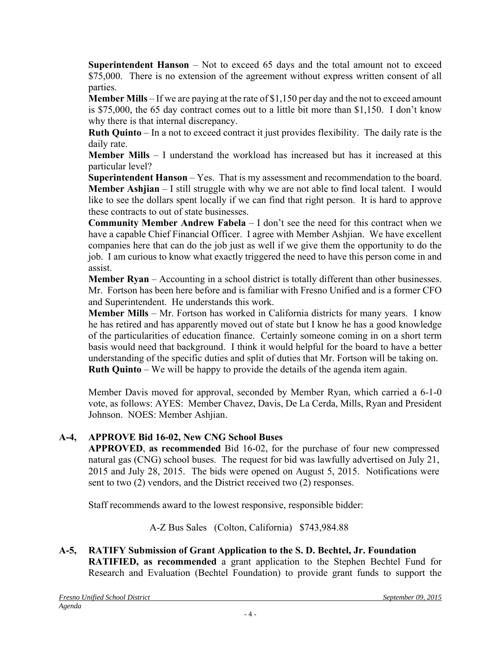**Superintendent Hanson** – Not to exceed 65 days and the total amount not to exceed \$75,000. There is no extension of the agreement without express written consent of all parties.

**Member Mills** – If we are paying at the rate of \$1,150 per day and the not to exceed amount is \$75,000, the 65 day contract comes out to a little bit more than \$1,150. I don't know why there is that internal discrepancy.

**Ruth Quinto** – In a not to exceed contract it just provides flexibility. The daily rate is the daily rate.

**Member Mills** – I understand the workload has increased but has it increased at this particular level?

**Superintendent Hanson** – Yes. That is my assessment and recommendation to the board. **Member Ashjian** – I still struggle with why we are not able to find local talent. I would like to see the dollars spent locally if we can find that right person. It is hard to approve these contracts to out of state businesses.

**Community Member Andrew Fabela** – I don't see the need for this contract when we have a capable Chief Financial Officer. I agree with Member Ashjian. We have excellent companies here that can do the job just as well if we give them the opportunity to do the job. I am curious to know what exactly triggered the need to have this person come in and assist.

**Member Ryan** – Accounting in a school district is totally different than other businesses. Mr. Fortson has been here before and is familiar with Fresno Unified and is a former CFO and Superintendent. He understands this work.

**Member Mills** – Mr. Fortson has worked in California districts for many years. I know he has retired and has apparently moved out of state but I know he has a good knowledge of the particularities of education finance. Certainly someone coming in on a short term basis would need that background. I think it would helpful for the board to have a better understanding of the specific duties and split of duties that Mr. Fortson will be taking on. **Ruth Quinto** – We will be happy to provide the details of the agenda item again.

Member Davis moved for approval, seconded by Member Ryan, which carried a 6-1-0 vote, as follows: AYES: Member Chavez, Davis, De La Cerda, Mills, Ryan and President Johnson. NOES: Member Ashjian.

## **A-4, APPROVE Bid 16-02, New CNG School Buses**

**APPROVED**, **as recommended** Bid 16-02, for the purchase of four new compressed natural gas (CNG) school buses. The request for bid was lawfully advertised on July 21, 2015 and July 28, 2015. The bids were opened on August 5, 2015. Notifications were sent to two (2) vendors, and the District received two (2) responses.

Staff recommends award to the lowest responsive, responsible bidder:

A-Z Bus Sales (Colton, California) \$743,984.88

## **A-5, RATIFY Submission of Grant Application to the S. D. Bechtel, Jr. Foundation RATIFIED, as recommended** a grant application to the Stephen Bechtel Fund for Research and Evaluation (Bechtel Foundation) to provide grant funds to support the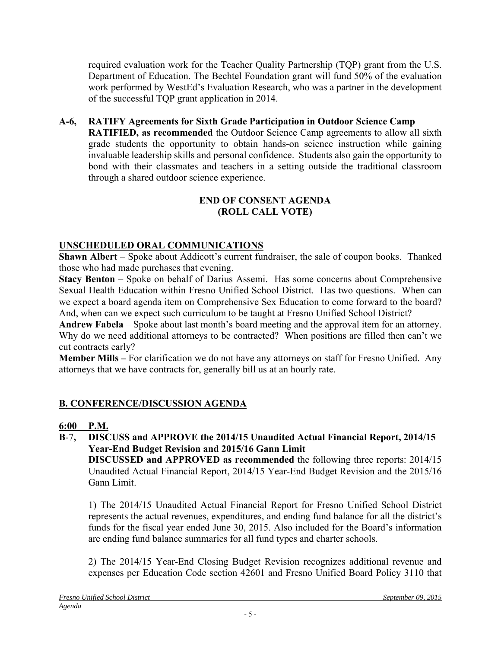required evaluation work for the Teacher Quality Partnership (TQP) grant from the U.S. Department of Education. The Bechtel Foundation grant will fund 50% of the evaluation work performed by WestEd's Evaluation Research, who was a partner in the development of the successful TQP grant application in 2014.

#### **A-6, RATIFY Agreements for Sixth Grade Participation in Outdoor Science Camp RATIFIED, as recommended** the Outdoor Science Camp agreements to allow all sixth grade students the opportunity to obtain hands-on science instruction while gaining invaluable leadership skills and personal confidence. Students also gain the opportunity to bond with their classmates and teachers in a setting outside the traditional classroom through a shared outdoor science experience.

## **END OF CONSENT AGENDA (ROLL CALL VOTE)**

# **UNSCHEDULED ORAL COMMUNICATIONS**

**Shawn Albert** – Spoke about Addicott's current fundraiser, the sale of coupon books. Thanked those who had made purchases that evening.

**Stacy Benton** – Spoke on behalf of Darius Assemi. Has some concerns about Comprehensive Sexual Health Education within Fresno Unified School District. Has two questions. When can we expect a board agenda item on Comprehensive Sex Education to come forward to the board? And, when can we expect such curriculum to be taught at Fresno Unified School District?

**Andrew Fabela** – Spoke about last month's board meeting and the approval item for an attorney. Why do we need additional attorneys to be contracted? When positions are filled then can't we cut contracts early?

**Member Mills –** For clarification we do not have any attorneys on staff for Fresno Unified. Any attorneys that we have contracts for, generally bill us at an hourly rate.

# **B. CONFERENCE/DISCUSSION AGENDA**

# **6:00 P.M.**

**B**-7**, DISCUSS and APPROVE the 2014/15 Unaudited Actual Financial Report, 2014/15 Year-End Budget Revision and 2015/16 Gann Limit**

**DISCUSSED and APPROVED as recommended** the following three reports: 2014/15 Unaudited Actual Financial Report, 2014/15 Year-End Budget Revision and the 2015/16 Gann Limit.

1) The 2014/15 Unaudited Actual Financial Report for Fresno Unified School District represents the actual revenues, expenditures, and ending fund balance for all the district's funds for the fiscal year ended June 30, 2015. Also included for the Board's information are ending fund balance summaries for all fund types and charter schools.

2) The 2014/15 Year-End Closing Budget Revision recognizes additional revenue and expenses per Education Code section 42601 and Fresno Unified Board Policy 3110 that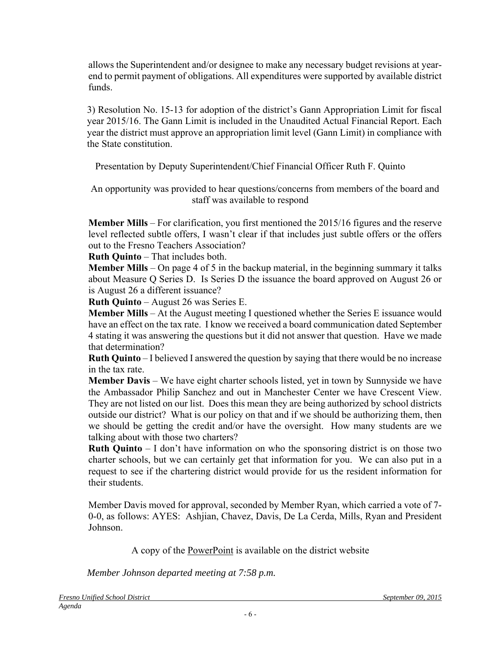allows the Superintendent and/or designee to make any necessary budget revisions at yearend to permit payment of obligations. All expenditures were supported by available district funds.

3) Resolution No. 15-13 for adoption of the district's Gann Appropriation Limit for fiscal year 2015/16. The Gann Limit is included in the Unaudited Actual Financial Report. Each year the district must approve an appropriation limit level (Gann Limit) in compliance with the State constitution.

Presentation by Deputy Superintendent/Chief Financial Officer Ruth F. Quinto

An opportunity was provided to hear questions/concerns from members of the board and staff was available to respond

**Member Mills** – For clarification, you first mentioned the 2015/16 figures and the reserve level reflected subtle offers, I wasn't clear if that includes just subtle offers or the offers out to the Fresno Teachers Association?

**Ruth Quinto** – That includes both.

**Member Mills** – On page 4 of 5 in the backup material, in the beginning summary it talks about Measure Q Series D. Is Series D the issuance the board approved on August 26 or is August 26 a different issuance?

**Ruth Quinto** – August 26 was Series E.

**Member Mills** – At the August meeting I questioned whether the Series E issuance would have an effect on the tax rate. I know we received a board communication dated September 4 stating it was answering the questions but it did not answer that question. Have we made that determination?

**Ruth Quinto** – I believed I answered the question by saying that there would be no increase in the tax rate.

**Member Davis** – We have eight charter schools listed, yet in town by Sunnyside we have the Ambassador Philip Sanchez and out in Manchester Center we have Crescent View. They are not listed on our list. Does this mean they are being authorized by school districts outside our district? What is our policy on that and if we should be authorizing them, then we should be getting the credit and/or have the oversight. How many students are we talking about with those two charters?

**Ruth Quinto** – I don't have information on who the sponsoring district is on those two charter schools, but we can certainly get that information for you. We can also put in a request to see if the chartering district would provide for us the resident information for their students.

Member Davis moved for approval, seconded by Member Ryan, which carried a vote of 7- 0-0, as follows: AYES: Ashjian, Chavez, Davis, De La Cerda, Mills, Ryan and President Johnson.

A copy of the PowerPoint is available on the district website

*Member Johnson departed meeting at 7:58 p.m.*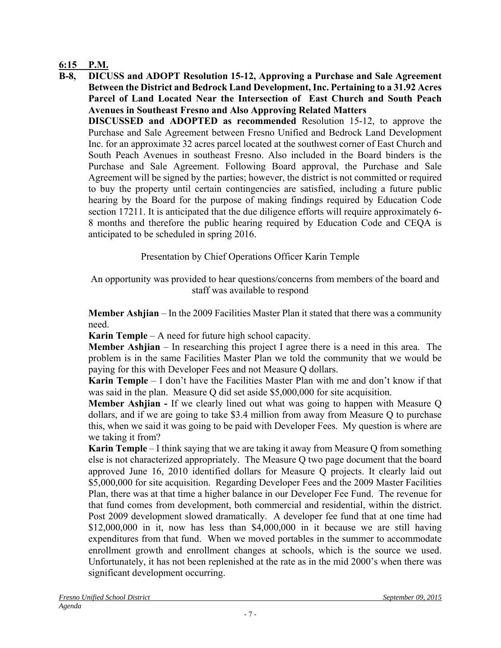## **6:15 P.M.**

**B-8, DICUSS and ADOPT Resolution 15-12, Approving a Purchase and Sale Agreement Between the District and Bedrock Land Development, Inc. Pertaining to a 31.92 Acres Parcel of Land Located Near the Intersection of East Church and South Peach Avenues in Southeast Fresno and Also Approving Related Matters**

**DISCUSSED and ADOPTED as recommended** Resolution 15-12, to approve the Purchase and Sale Agreement between Fresno Unified and Bedrock Land Development Inc. for an approximate 32 acres parcel located at the southwest corner of East Church and South Peach Avenues in southeast Fresno. Also included in the Board binders is the Purchase and Sale Agreement. Following Board approval, the Purchase and Sale Agreement will be signed by the parties; however, the district is not committed or required to buy the property until certain contingencies are satisfied, including a future public hearing by the Board for the purpose of making findings required by Education Code section 17211. It is anticipated that the due diligence efforts will require approximately 6- 8 months and therefore the public hearing required by Education Code and CEQA is anticipated to be scheduled in spring 2016.

Presentation by Chief Operations Officer Karin Temple

An opportunity was provided to hear questions/concerns from members of the board and staff was available to respond

**Member Ashjian** – In the 2009 Facilities Master Plan it stated that there was a community need.

**Karin Temple** – A need for future high school capacity.

**Member Ashjian** – In researching this project I agree there is a need in this area. The problem is in the same Facilities Master Plan we told the community that we would be paying for this with Developer Fees and not Measure Q dollars.

**Karin Temple** – I don't have the Facilities Master Plan with me and don't know if that was said in the plan. Measure Q did set aside \$5,000,000 for site acquisition.

**Member Ashjian -** If we clearly lined out what was going to happen with Measure Q dollars, and if we are going to take \$3.4 million from away from Measure Q to purchase this, when we said it was going to be paid with Developer Fees. My question is where are we taking it from?

**Karin Temple** – I think saying that we are taking it away from Measure Q from something else is not characterized appropriately. The Measure Q two page document that the board approved June 16, 2010 identified dollars for Measure Q projects. It clearly laid out \$5,000,000 for site acquisition. Regarding Developer Fees and the 2009 Master Facilities Plan, there was at that time a higher balance in our Developer Fee Fund. The revenue for that fund comes from development, both commercial and residential, within the district. Post 2009 development slowed dramatically. A developer fee fund that at one time had \$12,000,000 in it, now has less than \$4,000,000 in it because we are still having expenditures from that fund. When we moved portables in the summer to accommodate enrollment growth and enrollment changes at schools, which is the source we used. Unfortunately, it has not been replenished at the rate as in the mid 2000's when there was significant development occurring.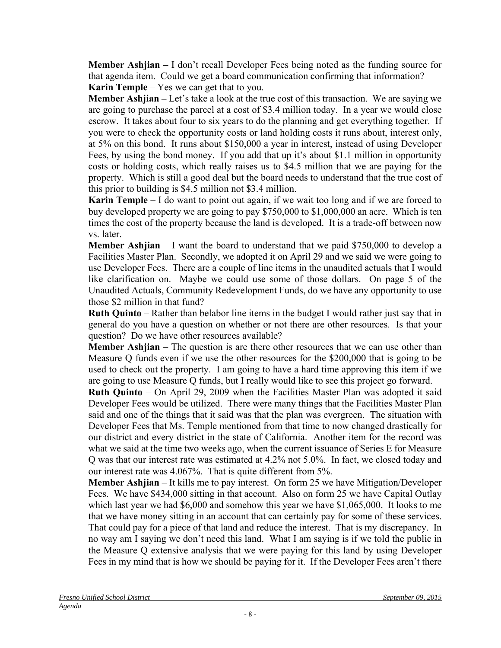**Member Ashjian –** I don't recall Developer Fees being noted as the funding source for that agenda item. Could we get a board communication confirming that information? **Karin Temple** – Yes we can get that to you.

**Member Ashjian –** Let's take a look at the true cost of this transaction. We are saying we are going to purchase the parcel at a cost of \$3.4 million today. In a year we would close escrow. It takes about four to six years to do the planning and get everything together. If you were to check the opportunity costs or land holding costs it runs about, interest only, at 5% on this bond. It runs about \$150,000 a year in interest, instead of using Developer Fees, by using the bond money. If you add that up it's about \$1.1 million in opportunity costs or holding costs, which really raises us to \$4.5 million that we are paying for the property. Which is still a good deal but the board needs to understand that the true cost of this prior to building is \$4.5 million not \$3.4 million.

**Karin Temple** – I do want to point out again, if we wait too long and if we are forced to buy developed property we are going to pay \$750,000 to \$1,000,000 an acre. Which is ten times the cost of the property because the land is developed. It is a trade-off between now vs. later.

**Member Ashjian** – I want the board to understand that we paid \$750,000 to develop a Facilities Master Plan. Secondly, we adopted it on April 29 and we said we were going to use Developer Fees. There are a couple of line items in the unaudited actuals that I would like clarification on. Maybe we could use some of those dollars. On page 5 of the Unaudited Actuals, Community Redevelopment Funds, do we have any opportunity to use those \$2 million in that fund?

**Ruth Quinto** – Rather than belabor line items in the budget I would rather just say that in general do you have a question on whether or not there are other resources. Is that your question? Do we have other resources available?

**Member Ashjian** – The question is are there other resources that we can use other than Measure Q funds even if we use the other resources for the \$200,000 that is going to be used to check out the property. I am going to have a hard time approving this item if we are going to use Measure Q funds, but I really would like to see this project go forward.

**Ruth Quinto** – On April 29, 2009 when the Facilities Master Plan was adopted it said Developer Fees would be utilized. There were many things that the Facilities Master Plan said and one of the things that it said was that the plan was evergreen. The situation with Developer Fees that Ms. Temple mentioned from that time to now changed drastically for our district and every district in the state of California. Another item for the record was what we said at the time two weeks ago, when the current issuance of Series E for Measure Q was that our interest rate was estimated at 4.2% not 5.0%. In fact, we closed today and our interest rate was 4.067%. That is quite different from 5%.

**Member Ashjian** – It kills me to pay interest. On form 25 we have Mitigation/Developer Fees. We have \$434,000 sitting in that account. Also on form 25 we have Capital Outlay which last year we had \$6,000 and somehow this year we have \$1,065,000. It looks to me that we have money sitting in an account that can certainly pay for some of these services. That could pay for a piece of that land and reduce the interest. That is my discrepancy. In no way am I saying we don't need this land. What I am saying is if we told the public in the Measure Q extensive analysis that we were paying for this land by using Developer Fees in my mind that is how we should be paying for it. If the Developer Fees aren't there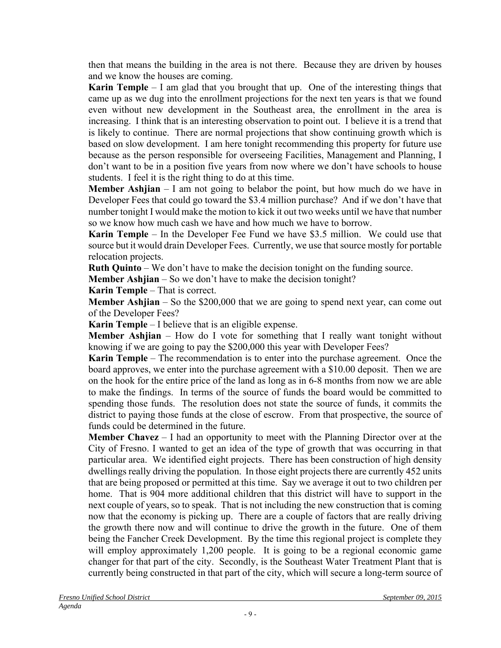then that means the building in the area is not there. Because they are driven by houses and we know the houses are coming.

**Karin Temple** – I am glad that you brought that up. One of the interesting things that came up as we dug into the enrollment projections for the next ten years is that we found even without new development in the Southeast area, the enrollment in the area is increasing. I think that is an interesting observation to point out. I believe it is a trend that is likely to continue. There are normal projections that show continuing growth which is based on slow development. I am here tonight recommending this property for future use because as the person responsible for overseeing Facilities, Management and Planning, I don't want to be in a position five years from now where we don't have schools to house students. I feel it is the right thing to do at this time.

**Member Ashjian** – I am not going to belabor the point, but how much do we have in Developer Fees that could go toward the \$3.4 million purchase? And if we don't have that number tonight I would make the motion to kick it out two weeks until we have that number so we know how much cash we have and how much we have to borrow.

**Karin Temple** – In the Developer Fee Fund we have \$3.5 million. We could use that source but it would drain Developer Fees. Currently, we use that source mostly for portable relocation projects.

**Ruth Quinto** – We don't have to make the decision tonight on the funding source.

**Member Ashijan** – So we don't have to make the decision tonight?

**Karin Temple** – That is correct.

**Member Ashijan** – So the \$200,000 that we are going to spend next year, can come out of the Developer Fees?

**Karin Temple** – I believe that is an eligible expense.

**Member Ashijan** – How do I vote for something that I really want tonight without knowing if we are going to pay the \$200,000 this year with Developer Fees?

**Karin Temple** – The recommendation is to enter into the purchase agreement. Once the board approves, we enter into the purchase agreement with a \$10.00 deposit. Then we are on the hook for the entire price of the land as long as in 6-8 months from now we are able to make the findings. In terms of the source of funds the board would be committed to spending those funds. The resolution does not state the source of funds, it commits the district to paying those funds at the close of escrow. From that prospective, the source of funds could be determined in the future.

**Member Chavez** – I had an opportunity to meet with the Planning Director over at the City of Fresno. I wanted to get an idea of the type of growth that was occurring in that particular area. We identified eight projects. There has been construction of high density dwellings really driving the population. In those eight projects there are currently 452 units that are being proposed or permitted at this time. Say we average it out to two children per home. That is 904 more additional children that this district will have to support in the next couple of years, so to speak. That is not including the new construction that is coming now that the economy is picking up. There are a couple of factors that are really driving the growth there now and will continue to drive the growth in the future. One of them being the Fancher Creek Development. By the time this regional project is complete they will employ approximately 1,200 people. It is going to be a regional economic game changer for that part of the city. Secondly, is the Southeast Water Treatment Plant that is currently being constructed in that part of the city, which will secure a long-term source of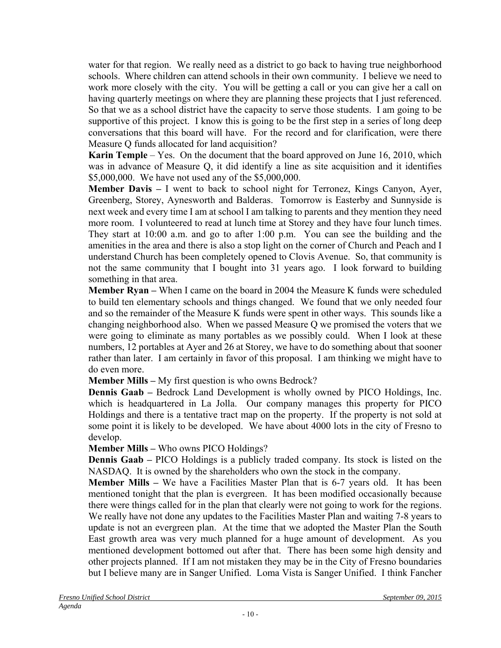water for that region. We really need as a district to go back to having true neighborhood schools. Where children can attend schools in their own community. I believe we need to work more closely with the city. You will be getting a call or you can give her a call on having quarterly meetings on where they are planning these projects that I just referenced. So that we as a school district have the capacity to serve those students. I am going to be supportive of this project. I know this is going to be the first step in a series of long deep conversations that this board will have. For the record and for clarification, were there Measure Q funds allocated for land acquisition?

**Karin Temple** – Yes. On the document that the board approved on June 16, 2010, which was in advance of Measure Q, it did identify a line as site acquisition and it identifies \$5,000,000. We have not used any of the \$5,000,000.

**Member Davis –** I went to back to school night for Terronez, Kings Canyon, Ayer, Greenberg, Storey, Aynesworth and Balderas. Tomorrow is Easterby and Sunnyside is next week and every time I am at school I am talking to parents and they mention they need more room. I volunteered to read at lunch time at Storey and they have four lunch times. They start at 10:00 a.m. and go to after 1:00 p.m. You can see the building and the amenities in the area and there is also a stop light on the corner of Church and Peach and I understand Church has been completely opened to Clovis Avenue. So, that community is not the same community that I bought into 31 years ago. I look forward to building something in that area.

**Member Ryan –** When I came on the board in 2004 the Measure K funds were scheduled to build ten elementary schools and things changed. We found that we only needed four and so the remainder of the Measure K funds were spent in other ways. This sounds like a changing neighborhood also. When we passed Measure Q we promised the voters that we were going to eliminate as many portables as we possibly could. When I look at these numbers, 12 portables at Ayer and 26 at Storey, we have to do something about that sooner rather than later. I am certainly in favor of this proposal. I am thinking we might have to do even more.

**Member Mills –** My first question is who owns Bedrock?

**Dennis Gaab –** Bedrock Land Development is wholly owned by PICO Holdings, Inc. which is headquartered in La Jolla. Our company manages this property for PICO Holdings and there is a tentative tract map on the property. If the property is not sold at some point it is likely to be developed. We have about 4000 lots in the city of Fresno to develop.

**Member Mills –** Who owns PICO Holdings?

**Dennis Gaab** – PICO Holdings is a publicly traded company. Its stock is listed on the NASDAQ. It is owned by the shareholders who own the stock in the company.

**Member Mills –** We have a Facilities Master Plan that is 6-7 years old. It has been mentioned tonight that the plan is evergreen. It has been modified occasionally because there were things called for in the plan that clearly were not going to work for the regions. We really have not done any updates to the Facilities Master Plan and waiting 7-8 years to update is not an evergreen plan. At the time that we adopted the Master Plan the South East growth area was very much planned for a huge amount of development. As you mentioned development bottomed out after that. There has been some high density and other projects planned. If I am not mistaken they may be in the City of Fresno boundaries but I believe many are in Sanger Unified. Loma Vista is Sanger Unified. I think Fancher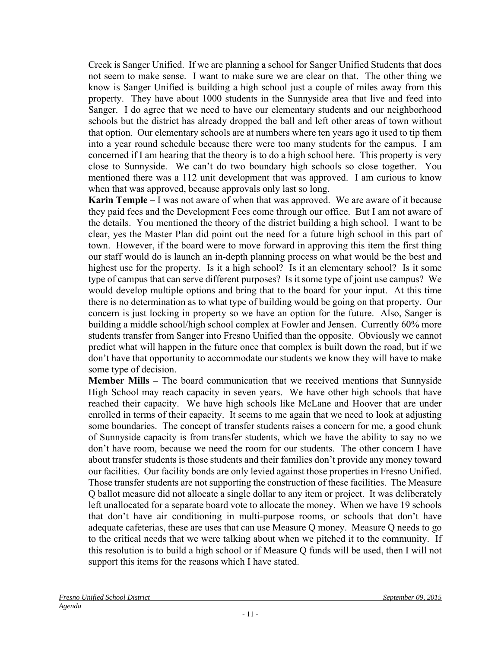Creek is Sanger Unified. If we are planning a school for Sanger Unified Students that does not seem to make sense. I want to make sure we are clear on that. The other thing we know is Sanger Unified is building a high school just a couple of miles away from this property. They have about 1000 students in the Sunnyside area that live and feed into Sanger. I do agree that we need to have our elementary students and our neighborhood schools but the district has already dropped the ball and left other areas of town without that option. Our elementary schools are at numbers where ten years ago it used to tip them into a year round schedule because there were too many students for the campus. I am concerned if I am hearing that the theory is to do a high school here. This property is very close to Sunnyside. We can't do two boundary high schools so close together. You mentioned there was a 112 unit development that was approved. I am curious to know when that was approved, because approvals only last so long.

**Karin Temple –** I was not aware of when that was approved. We are aware of it because they paid fees and the Development Fees come through our office. But I am not aware of the details. You mentioned the theory of the district building a high school. I want to be clear, yes the Master Plan did point out the need for a future high school in this part of town. However, if the board were to move forward in approving this item the first thing our staff would do is launch an in-depth planning process on what would be the best and highest use for the property. Is it a high school? Is it an elementary school? Is it some type of campus that can serve different purposes? Is it some type of joint use campus? We would develop multiple options and bring that to the board for your input. At this time there is no determination as to what type of building would be going on that property. Our concern is just locking in property so we have an option for the future. Also, Sanger is building a middle school/high school complex at Fowler and Jensen. Currently 60% more students transfer from Sanger into Fresno Unified than the opposite. Obviously we cannot predict what will happen in the future once that complex is built down the road, but if we don't have that opportunity to accommodate our students we know they will have to make some type of decision.

**Member Mills –** The board communication that we received mentions that Sunnyside High School may reach capacity in seven years. We have other high schools that have reached their capacity. We have high schools like McLane and Hoover that are under enrolled in terms of their capacity. It seems to me again that we need to look at adjusting some boundaries. The concept of transfer students raises a concern for me, a good chunk of Sunnyside capacity is from transfer students, which we have the ability to say no we don't have room, because we need the room for our students. The other concern I have about transfer students is those students and their families don't provide any money toward our facilities. Our facility bonds are only levied against those properties in Fresno Unified. Those transfer students are not supporting the construction of these facilities. The Measure Q ballot measure did not allocate a single dollar to any item or project. It was deliberately left unallocated for a separate board vote to allocate the money. When we have 19 schools that don't have air conditioning in multi-purpose rooms, or schools that don't have adequate cafeterias, these are uses that can use Measure Q money. Measure Q needs to go to the critical needs that we were talking about when we pitched it to the community. If this resolution is to build a high school or if Measure Q funds will be used, then I will not support this items for the reasons which I have stated.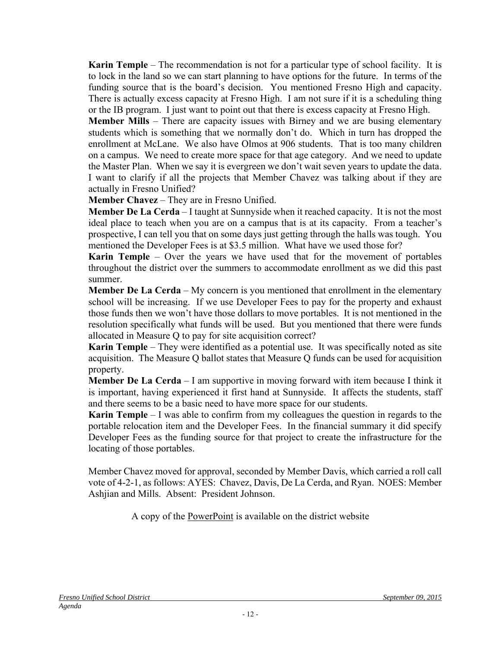**Karin Temple** – The recommendation is not for a particular type of school facility. It is to lock in the land so we can start planning to have options for the future. In terms of the funding source that is the board's decision. You mentioned Fresno High and capacity. There is actually excess capacity at Fresno High. I am not sure if it is a scheduling thing or the IB program. I just want to point out that there is excess capacity at Fresno High.

**Member Mills** – There are capacity issues with Birney and we are busing elementary students which is something that we normally don't do. Which in turn has dropped the enrollment at McLane. We also have Olmos at 906 students. That is too many children on a campus. We need to create more space for that age category. And we need to update the Master Plan. When we say it is evergreen we don't wait seven years to update the data. I want to clarify if all the projects that Member Chavez was talking about if they are actually in Fresno Unified?

**Member Chavez** – They are in Fresno Unified.

**Member De La Cerda** – I taught at Sunnyside when it reached capacity. It is not the most ideal place to teach when you are on a campus that is at its capacity. From a teacher's prospective, I can tell you that on some days just getting through the halls was tough. You mentioned the Developer Fees is at \$3.5 million. What have we used those for?

**Karin Temple** – Over the years we have used that for the movement of portables throughout the district over the summers to accommodate enrollment as we did this past summer.

**Member De La Cerda** – My concern is you mentioned that enrollment in the elementary school will be increasing. If we use Developer Fees to pay for the property and exhaust those funds then we won't have those dollars to move portables. It is not mentioned in the resolution specifically what funds will be used. But you mentioned that there were funds allocated in Measure Q to pay for site acquisition correct?

**Karin Temple** – They were identified as a potential use. It was specifically noted as site acquisition. The Measure Q ballot states that Measure Q funds can be used for acquisition property.

**Member De La Cerda** – I am supportive in moving forward with item because I think it is important, having experienced it first hand at Sunnyside. It affects the students, staff and there seems to be a basic need to have more space for our students.

**Karin Temple** – I was able to confirm from my colleagues the question in regards to the portable relocation item and the Developer Fees. In the financial summary it did specify Developer Fees as the funding source for that project to create the infrastructure for the locating of those portables.

Member Chavez moved for approval, seconded by Member Davis, which carried a roll call vote of 4-2-1, as follows: AYES: Chavez, Davis, De La Cerda, and Ryan. NOES: Member Ashjian and Mills. Absent: President Johnson.

A copy of the PowerPoint is available on the district website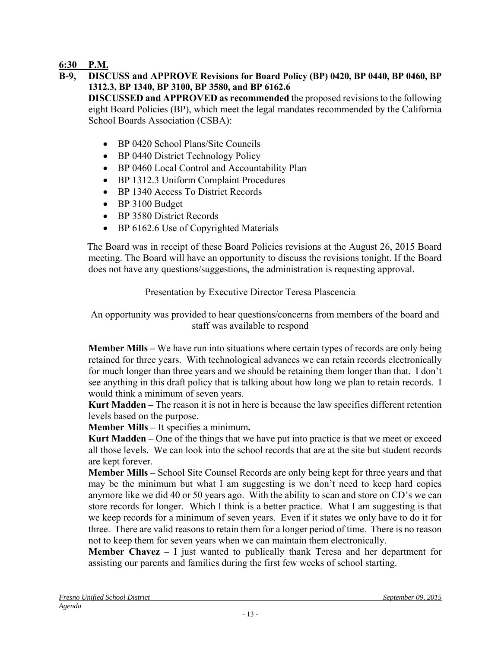## **6:30 P.M.**

**B-9, DISCUSS and APPROVE Revisions for Board Policy (BP) 0420, BP 0440, BP 0460, BP 1312.3, BP 1340, BP 3100, BP 3580, and BP 6162.6 DISCUSSED and APPROVED as recommended** the proposed revisions to the following eight Board Policies (BP), which meet the legal mandates recommended by the California

School Boards Association (CSBA):

- BP 0420 School Plans/Site Councils
- BP 0440 District Technology Policy
- BP 0460 Local Control and Accountability Plan
- BP 1312.3 Uniform Complaint Procedures
- BP 1340 Access To District Records
- BP 3100 Budget
- BP 3580 District Records
- BP 6162.6 Use of Copyrighted Materials

The Board was in receipt of these Board Policies revisions at the August 26, 2015 Board meeting. The Board will have an opportunity to discuss the revisions tonight. If the Board does not have any questions/suggestions, the administration is requesting approval.

## Presentation by Executive Director Teresa Plascencia

An opportunity was provided to hear questions/concerns from members of the board and staff was available to respond

**Member Mills –** We have run into situations where certain types of records are only being retained for three years. With technological advances we can retain records electronically for much longer than three years and we should be retaining them longer than that. I don't see anything in this draft policy that is talking about how long we plan to retain records. I would think a minimum of seven years.

**Kurt Madden –** The reason it is not in here is because the law specifies different retention levels based on the purpose.

**Member Mills –** It specifies a minimum**.** 

**Kurt Madden –** One of the things that we have put into practice is that we meet or exceed all those levels. We can look into the school records that are at the site but student records are kept forever.

**Member Mills –** School Site Counsel Records are only being kept for three years and that may be the minimum but what I am suggesting is we don't need to keep hard copies anymore like we did 40 or 50 years ago. With the ability to scan and store on CD's we can store records for longer. Which I think is a better practice. What I am suggesting is that we keep records for a minimum of seven years. Even if it states we only have to do it for three. There are valid reasons to retain them for a longer period of time. There is no reason not to keep them for seven years when we can maintain them electronically.

**Member Chavez –** I just wanted to publically thank Teresa and her department for assisting our parents and families during the first few weeks of school starting.